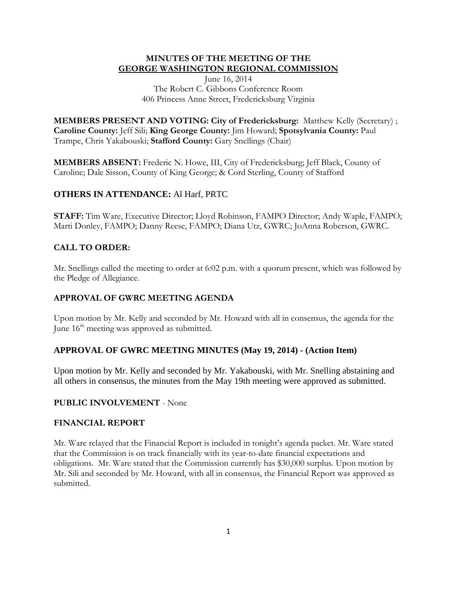### **MINUTES OF THE MEETING OF THE GEORGE WASHINGTON REGIONAL COMMISSION**

June 16, 2014 The Robert C. Gibbons Conference Room 406 Princess Anne Street, Fredericksburg Virginia

**MEMBERS PRESENT AND VOTING: City of Fredericksburg:** Matthew Kelly (Secretary) ; **Caroline County:** Jeff Sili; **King George County:** Jim Howard; **Spotsylvania County:** Paul Trampe, Chris Yakabouski; **Stafford County:** Gary Snellings (Chair)

**MEMBERS ABSENT:** Frederic N. Howe, III, City of Fredericksburg; Jeff Black, County of Caroline; Dale Sisson, County of King George; & Cord Sterling, County of Stafford

# **OTHERS IN ATTENDANCE:** Al Harf, PRTC

**STAFF:** Tim Ware, Executive Director; Lloyd Robinson, FAMPO Director; Andy Waple, FAMPO; Marti Donley, FAMPO; Danny Reese, FAMPO; Diana Utz, GWRC; JoAnna Roberson, GWRC.

# **CALL TO ORDER:**

Mr. Snellings called the meeting to order at 6:02 p.m. with a quorum present, which was followed by the Pledge of Allegiance.

## **APPROVAL OF GWRC MEETING AGENDA**

Upon motion by Mr. Kelly and seconded by Mr. Howard with all in consensus, the agenda for the June  $16<sup>th</sup>$  meeting was approved as submitted.

## **APPROVAL OF GWRC MEETING MINUTES (May 19, 2014) - (Action Item)**

Upon motion by Mr. Kelly and seconded by Mr. Yakabouski, with Mr. Snelling abstaining and all others in consensus, the minutes from the May 19th meeting were approved as submitted.

## **PUBLIC INVOLVEMENT** - None

### **FINANCIAL REPORT**

Mr. Ware relayed that the Financial Report is included in tonight's agenda packet. Mr. Ware stated that the Commission is on track financially with its year-to-date financial expectations and obligations. Mr. Ware stated that the Commission currently has \$30,000 surplus. Upon motion by Mr. Sili and seconded by Mr. Howard, with all in consensus, the Financial Report was approved as submitted.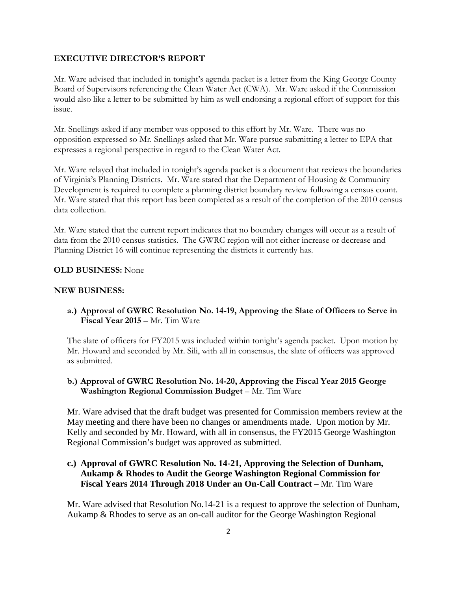#### **EXECUTIVE DIRECTOR'S REPORT**

Mr. Ware advised that included in tonight's agenda packet is a letter from the King George County Board of Supervisors referencing the Clean Water Act (CWA). Mr. Ware asked if the Commission would also like a letter to be submitted by him as well endorsing a regional effort of support for this issue.

Mr. Snellings asked if any member was opposed to this effort by Mr. Ware. There was no opposition expressed so Mr. Snellings asked that Mr. Ware pursue submitting a letter to EPA that expresses a regional perspective in regard to the Clean Water Act.

Mr. Ware relayed that included in tonight's agenda packet is a document that reviews the boundaries of Virginia's Planning Districts. Mr. Ware stated that the Department of Housing & Community Development is required to complete a planning district boundary review following a census count. Mr. Ware stated that this report has been completed as a result of the completion of the 2010 census data collection.

Mr. Ware stated that the current report indicates that no boundary changes will occur as a result of data from the 2010 census statistics. The GWRC region will not either increase or decrease and Planning District 16 will continue representing the districts it currently has.

#### **OLD BUSINESS:** None

#### **NEW BUSINESS:**

**a.) Approval of GWRC Resolution No. 14-19, Approving the Slate of Officers to Serve in Fiscal Year 2015** – Mr. Tim Ware

The slate of officers for FY2015 was included within tonight's agenda packet. Upon motion by Mr. Howard and seconded by Mr. Sili, with all in consensus, the slate of officers was approved as submitted.

**b.) Approval of GWRC Resolution No. 14-20, Approving the Fiscal Year 2015 George Washington Regional Commission Budget** – Mr. Tim Ware

Mr. Ware advised that the draft budget was presented for Commission members review at the May meeting and there have been no changes or amendments made. Upon motion by Mr. Kelly and seconded by Mr. Howard, with all in consensus, the FY2015 George Washington Regional Commission's budget was approved as submitted.

# **c.) Approval of GWRC Resolution No. 14-21, Approving the Selection of Dunham, Aukamp & Rhodes to Audit the George Washington Regional Commission for Fiscal Years 2014 Through 2018 Under an On-Call Contract – Mr. Tim Ware**

Mr. Ware advised that Resolution No.14-21 is a request to approve the selection of Dunham, Aukamp & Rhodes to serve as an on-call auditor for the George Washington Regional